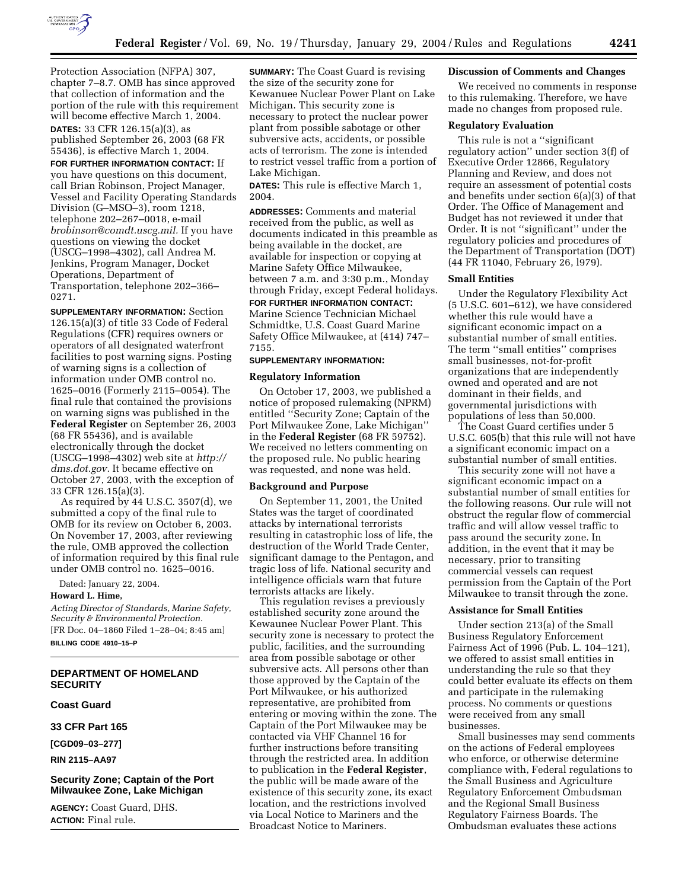

Protection Association (NFPA) 307, chapter 7–8.7. OMB has since approved that collection of information and the portion of the rule with this requirement will become effective March 1, 2004.

**DATES:** 33 CFR 126.15(a)(3), as published September 26, 2003 (68 FR 55436), is effective March 1, 2004.

**FOR FURTHER INFORMATION CONTACT:** If you have questions on this document, call Brian Robinson, Project Manager, Vessel and Facility Operating Standards Division (G–MSO–3), room 1218, telephone 202–267–0018, e-mail *brobinson@comdt.uscg.mil.* If you have questions on viewing the docket (USCG–1998–4302), call Andrea M. Jenkins, Program Manager, Docket Operations, Department of Transportation, telephone 202–366– 0271.

**SUPPLEMENTARY INFORMATION:** Section 126.15(a)(3) of title 33 Code of Federal Regulations (CFR) requires owners or operators of all designated waterfront facilities to post warning signs. Posting of warning signs is a collection of information under OMB control no. 1625–0016 (Formerly 2115–0054). The final rule that contained the provisions on warning signs was published in the **Federal Register** on September 26, 2003 (68 FR 55436), and is available electronically through the docket (USCG–1998–4302) web site at *http:// dms.dot.gov.* It became effective on October 27, 2003, with the exception of 33 CFR 126.15(a)(3).

As required by 44 U.S.C. 3507(d), we submitted a copy of the final rule to OMB for its review on October 6, 2003. On November 17, 2003, after reviewing the rule, OMB approved the collection of information required by this final rule under OMB control no. 1625–0016.

Dated: January 22, 2004.

## **Howard L. Hime,**

*Acting Director of Standards, Marine Safety, Security & Environmental Protection.* [FR Doc. 04–1860 Filed 1–28–04; 8:45 am] **BILLING CODE 4910–15–P**

# **DEPARTMENT OF HOMELAND SECURITY**

**Coast Guard** 

**33 CFR Part 165** 

**[CGD09–03–277]** 

**RIN 2115–AA97** 

# **Security Zone; Captain of the Port Milwaukee Zone, Lake Michigan**

**AGENCY:** Coast Guard, DHS. **ACTION:** Final rule.

**SUMMARY:** The Coast Guard is revising the size of the security zone for Kewanuee Nuclear Power Plant on Lake Michigan. This security zone is necessary to protect the nuclear power plant from possible sabotage or other subversive acts, accidents, or possible acts of terrorism. The zone is intended to restrict vessel traffic from a portion of Lake Michigan.

**DATES:** This rule is effective March 1, 2004.

**ADDRESSES:** Comments and material received from the public, as well as documents indicated in this preamble as being available in the docket, are available for inspection or copying at Marine Safety Office Milwaukee, between 7 a.m. and 3:30 p.m., Monday through Friday, except Federal holidays. **FOR FURTHER INFORMATION CONTACT:**

Marine Science Technician Michael Schmidtke, U.S. Coast Guard Marine Safety Office Milwaukee, at (414) 747– 7155.

#### **SUPPLEMENTARY INFORMATION:**

### **Regulatory Information**

On October 17, 2003, we published a notice of proposed rulemaking (NPRM) entitled ''Security Zone; Captain of the Port Milwaukee Zone, Lake Michigan'' in the **Federal Register** (68 FR 59752). We received no letters commenting on the proposed rule. No public hearing was requested, and none was held.

### **Background and Purpose**

On September 11, 2001, the United States was the target of coordinated attacks by international terrorists resulting in catastrophic loss of life, the destruction of the World Trade Center, significant damage to the Pentagon, and tragic loss of life. National security and intelligence officials warn that future terrorists attacks are likely.

This regulation revises a previously established security zone around the Kewaunee Nuclear Power Plant. This security zone is necessary to protect the public, facilities, and the surrounding area from possible sabotage or other subversive acts. All persons other than those approved by the Captain of the Port Milwaukee, or his authorized representative, are prohibited from entering or moving within the zone. The Captain of the Port Milwaukee may be contacted via VHF Channel 16 for further instructions before transiting through the restricted area. In addition to publication in the **Federal Register**, the public will be made aware of the existence of this security zone, its exact location, and the restrictions involved via Local Notice to Mariners and the Broadcast Notice to Mariners.

### **Discussion of Comments and Changes**

We received no comments in response to this rulemaking. Therefore, we have made no changes from proposed rule.

### **Regulatory Evaluation**

This rule is not a ''significant regulatory action'' under section 3(f) of Executive Order 12866, Regulatory Planning and Review, and does not require an assessment of potential costs and benefits under section 6(a)(3) of that Order. The Office of Management and Budget has not reviewed it under that Order. It is not ''significant'' under the regulatory policies and procedures of the Department of Transportation (DOT) (44 FR 11040, February 26, l979).

#### **Small Entities**

Under the Regulatory Flexibility Act (5 U.S.C. 601–612), we have considered whether this rule would have a significant economic impact on a substantial number of small entities. The term ''small entities'' comprises small businesses, not-for-profit organizations that are independently owned and operated and are not dominant in their fields, and governmental jurisdictions with populations of less than 50,000.

The Coast Guard certifies under 5 U.S.C. 605(b) that this rule will not have a significant economic impact on a substantial number of small entities.

This security zone will not have a significant economic impact on a substantial number of small entities for the following reasons. Our rule will not obstruct the regular flow of commercial traffic and will allow vessel traffic to pass around the security zone. In addition, in the event that it may be necessary, prior to transiting commercial vessels can request permission from the Captain of the Port Milwaukee to transit through the zone.

### **Assistance for Small Entities**

Under section 213(a) of the Small Business Regulatory Enforcement Fairness Act of 1996 (Pub. L. 104–121), we offered to assist small entities in understanding the rule so that they could better evaluate its effects on them and participate in the rulemaking process. No comments or questions were received from any small businesses.

Small businesses may send comments on the actions of Federal employees who enforce, or otherwise determine compliance with, Federal regulations to the Small Business and Agriculture Regulatory Enforcement Ombudsman and the Regional Small Business Regulatory Fairness Boards. The Ombudsman evaluates these actions